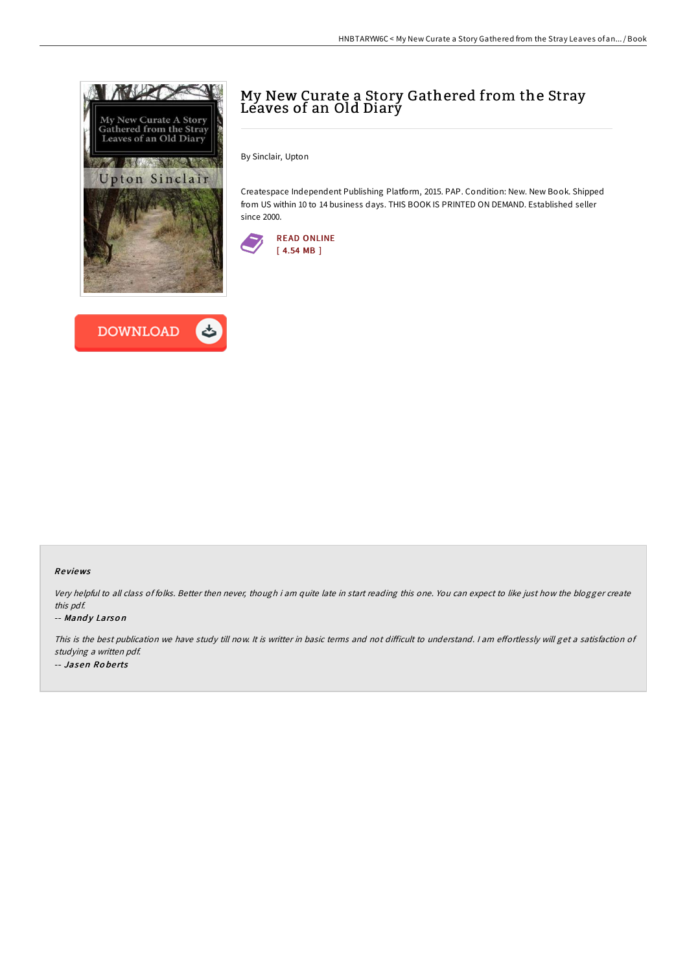



## My New Curate a Story Gathered from the Stray Leaves of an Old Diary

By Sinclair, Upton

Createspace Independent Publishing Platform, 2015. PAP. Condition: New. New Book. Shipped from US within 10 to 14 business days. THIS BOOK IS PRINTED ON DEMAND. Established seller since 2000.



#### Re views

Very helpful to all class of folks. Better then never, though i am quite late in start reading this one. You can expect to like just how the blogger create this pdf.

#### -- Mandy Larson

This is the best publication we have study till now. It is writter in basic terms and not difficult to understand. I am effortlessly will get a satisfaction of studying <sup>a</sup> written pdf. -- Jasen Ro be rts